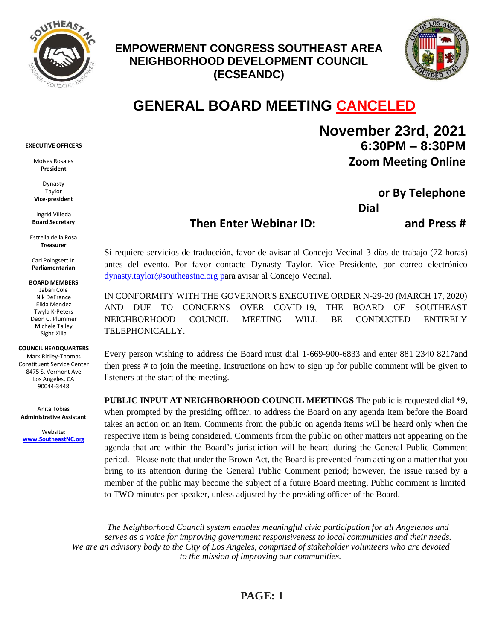

## **EMPOWERMENT CONGRESS SOUTHEAST AREA NEIGHBORHOOD DEVELOPMENT COUNCIL (ECSEANDC)**



# **GENERAL BOARD MEETING CANCELED**

#### **EXECUTIVE OFFICERS**

Moises Rosales **President**

Dynasty Taylor **Vice-president**

Ingrid Villeda **Board Secretary**

Estrella de la Rosa **Treasurer**

Carl Poingsett Jr. **Parliamentarian**

**BOARD MEMBERS**  Jabari Cole Nik DeFrance Elida Mendez Twyla K-Peters Deon C. Plummer Michele Talley Sight Xilla

### **COUNCIL HEADQUARTERS**

Mark Ridley-Thomas Constituent Service Center 8475 S. Vermont Ave Los Angeles, CA 90044-3448

Anita Tobias **Administrative Assistant**

Website: **[www.SoutheastNC.org](http://www.ecseandc.org/)** **November 23rd, 2021 6:30PM – 8:30PM Zoom Meeting Online** 

> **or By Telephone Dial 1-669-900-6833**

### **Then Enter Webinar ID: 892 1781 5602 and Press #**

Si requiere servicios de traducción, favor de avisar al Concejo Vecinal 3 días de trabajo (72 horas) antes del evento. Por favor contacte Dynasty Taylor, Vice Presidente, por correo electrónico [dynasty.taylor@southeastnc.org](mailto:dynasty.taylor@southeastnc.org%20p) para avisar al Concejo Vecinal.

IN CONFORMITY WITH THE GOVERNOR'S EXECUTIVE ORDER N-29-20 (MARCH 17, 2020) AND DUE TO CONCERNS OVER COVID-19, THE BOARD OF SOUTHEAST NEIGHBORHOOD COUNCIL MEETING WILL BE CONDUCTED ENTIRELY TELEPHONICALLY.

Every person wishing to address the Board must dial 1-669-900-6833 and enter 881 2340 8217and then press # to join the meeting. Instructions on how to sign up for public comment will be given to listeners at the start of the meeting.

**PUBLIC INPUT AT NEIGHBORHOOD COUNCIL MEETINGS** The public is requested dial \*9, when prompted by the presiding officer, to address the Board on any agenda item before the Board takes an action on an item. Comments from the public on agenda items will be heard only when the respective item is being considered. Comments from the public on other matters not appearing on the agenda that are within the Board's jurisdiction will be heard during the General Public Comment period. Please note that under the Brown Act, the Board is prevented from acting on a matter that you bring to its attention during the General Public Comment period; however, the issue raised by a member of the public may become the subject of a future Board meeting. Public comment is limited to TWO minutes per speaker, unless adjusted by the presiding officer of the Board.

*The Neighborhood Council system enables meaningful civic participation for all Angelenos and serves as a voice for improving government responsiveness to local communities and their needs. We are an advisory body to the City of Los Angeles, comprised of stakeholder volunteers who are devoted to the mission of improving our communities.*

### **PAGE: 1**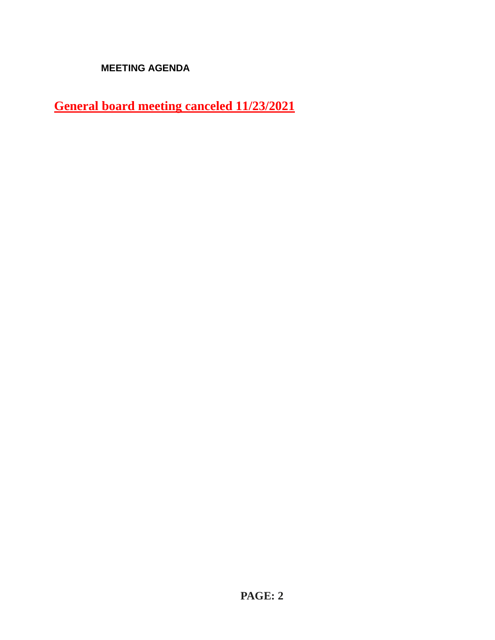**MEETING AGENDA**

**General board meeting canceled 11/23/2021**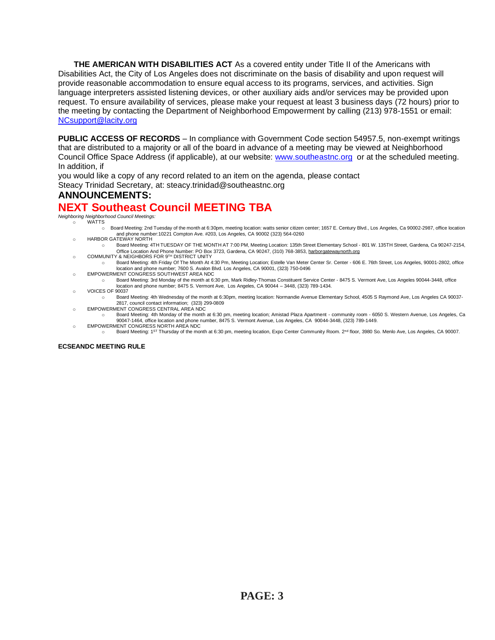**THE AMERICAN WITH DISABILITIES ACT** As a covered entity under Title II of the Americans with Disabilities Act, the City of Los Angeles does not discriminate on the basis of disability and upon request will provide reasonable accommodation to ensure equal access to its programs, services, and activities. Sign language interpreters assisted listening devices, or other auxiliary aids and/or services may be provided upon request. To ensure availability of services, please make your request at least 3 business days (72 hours) prior to the meeting by contacting the Department of Neighborhood Empowerment by calling (213) 978-1551 or email: [NCsupport@lacity.org](mailto:NCsupport@lacity.org)

**PUBLIC ACCESS OF RECORDS** – In compliance with Government Code section 54957.5, non-exempt writings that are distributed to a majority or all of the board in advance of a meeting may be viewed at Neighborhood Council Office Space Address (if applicable), at our website: [www.southeastnc.org](http://www.southeastnc.org/) or at the scheduled meeting. In addition, if

you would like a copy of any record related to an item on the agenda, please contact

Steacy Trinidad Secretary, at: ste[acy.trinidad@southeastnc.org](mailto:trinidad@southeastnc.org)

### **ANNOUNCEMENTS:**

### **NEXT Southeast Council MEETING TBA**

*Neighboring Neighborhood Council Meetings:* o WATTS

- o Board Meeting: 2nd Tuesday of the month at 6:30pm, meeting location: watts senior citizen center; 1657 E. Century Blvd., Los Angeles, Ca 90002-2987, office location and phone number:10221 Compton Ave. #203, Los Angeles, CA 90002 (323) 564-0260 o HARBOR GATEWAY NORTH
- o Board Meeting: 4TH TUESDAY OF THE MONTH AT 7:00 PM, Meeting Location: 135th Street Elementary School 801 W. 135TH Street, Gardena, Ca 90247-2154, o Community Coffice Location And Phone Number: PO Box 3723, Gardena, CA 90247, (310) 768-3853, <u>[harborgatewaynorth.org](http://www.lacity.org/disclaim/disclaim.cfm?goto=http://HARBORGATEWAYNORTH.ORG%20%20%20%20%20%20%20%20%20%20%20%20%20%20%20%20%20%20%20%20%20%20%20%20%20%20%20%20%20/%20_blank) وC</u>OMMUNITY & NEIGHBORS FOR 9™ DISTRICT UNITY
- o Board Meeting: 4th Friday Of The Month At 4:30 Pm, Meeting Location; Estelle Van Meter Center Sr. Center 606 E. 76th Street, Los Angeles, 90001-2802, office location and phone number; 7600 S. Avalon Blvd. Los Angeles, CA 90001, (323) 750-0496
- o EMPOWERMENT CONGRESS SOUTHWEST AREA NDC
	- o Board Meeting: 3rd Monday of the month at 6:30 pm, Mark Ridley-Thomas Constituent Service Center 8475 S. Vermont Ave, Los Angeles 90044-3448, office location and phone number; 8475 S. Vermont Ave, Los Angeles, CA 90044 – 3448, (323) 789-1434.
- o VOICES OF 90037
- o Board Meeting: 4th Wednesday of the month at 6:30pm, meeting location: Normandie Avenue Elementary School, 4505 S Raymond Ave, Los Angeles CA 90037- 2817, council contact information; (323) 299-0809
- o EMPOWERMENT CONGRESS CENTRAL AREA NDC
	- Board Meeting: 4th Monday of the month at 6:30 pm, meeting location; Amistad Plaza Apartment community room 6050 S. Western Avenue, Los Angeles, Ca 90047-1464, office location and phone number, 8475 S. Vermont Avenue, Los Angeles, CA 90044-3448, (323) 789-1449. EMPOWERMENT CONGRESS NORTH AREA NDC
		- Board Meeting: 1ST Thursday of the month at 6:30 pm, meeting location, Expo Center Community Room. 2<sup>nd</sup> floor, 3980 So. Menlo Ave, Los Angeles. CA 90007.

### **ECSEANDC MEETING RULE**